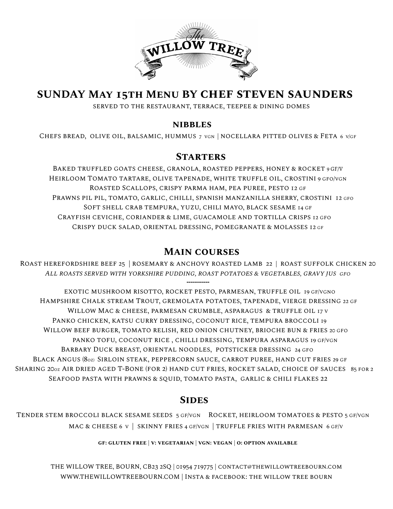

# **SUNDAY May 15th Menu BY chef steven saunders**

served to the restaurant, terrace, teepee & dining domes

#### **nibbles**

CHEFS BREAD, OLIVE OIL, BALSAMIC, HUMMUS 7 VGN | NOCELLARA PITTED OLIVES & FETA 6 V/GF

#### **Starters**

BAKED TRUFFLED GOATS CHEESE, GRANOLA, ROASTED PEPPERS, HONEY & ROCKET 9 GF/V HEIRLOOM TOMATO TARTARE, OLIVE TAPENADE, WHITE TRUFFLE OIL, CROSTINI 9 GFO/VGN Roasted Scallops, crispy parma ham, pea puree, pesto 12 gf PRAWNS PIL PIL, TOMATO, GARLIC, CHILLI, SPANISH MANZANILLA SHERRY, CROSTINI 12 GFO Soft shell crab tempura, yuzu, chili mayo, black sesame 14 gf Crayfish ceviche, coriander & lime, guacamole and tortilla crisps 12 gfo Crispy duck salad, oriental dressing, pomegranate & molasses 12 gf

### **Main courses**

Roast herefordshire beef 25 | rosemary & anchovy roasted lamb 22 | roast suffolk chicken 20 *All roasts served with yorkshire pudding, roast potatoes & vegetables, gravy jus gfo* ------------

EXOTIC MUSHROOM RISOTTO, ROCKET PESTO, PARMESAN, TRUFFLE OIL 19 GF/VGNO Hampshire Chalk stream Trout, gremolata potatoes, tapenade, vierge dressing 22 gf Willow Mac & cheese, parmesan crumble, asparagus & truffle oil 17 v Panko chicken, katsu curry dressing, coconut rice, tempura broccoli 19 WILLOW BEEF BURGER, TOMATO RELISH, RED ONION CHUTNEY, BRIOCHE BUN & FRIES 20 GFO panko tofu, coconut rice , chilli dressing, tempura asparagus 19 gf/vgn Barbary Duck breast, oriental noodles, potsticker dressing 24 gfo Black Angus (8oz) Sirloin steak, peppercorn sauce, carrot puree, hand cut fries 29 gf SHARING 2002 AIR DRIED AGED T-BONE (FOR 2) HAND CUT FRIES, ROCKET SALAD, CHOICE OF SAUCES 85 FOR 2 Seafood pasta with prawns & squid, tomato pasta, garlic & chili flakes 22

## **Sides**

Tender stem broccoli black sesame seeds 5 gf/vgn Rocket, heirloom tomatoes & pesto 5 gf/vgn MAC & CHEESE 6 v | SKINNY FRIES 4 GF/VGN | TRUFFLE FRIES WITH PARMESAN 6 GF/V

**gf: gluten free | v: vegetarian | vgn: vegan | o: option available**

THE WILLOW TREE, BOURN, CB23 2SQ | 01954 719775 | contact@thewillowtreebourn.com [WWW.THEWILLOWTREEBOURN.COM](http://www.thewillowtreebourn.com) | Insta & facebook: the willow tree bourn